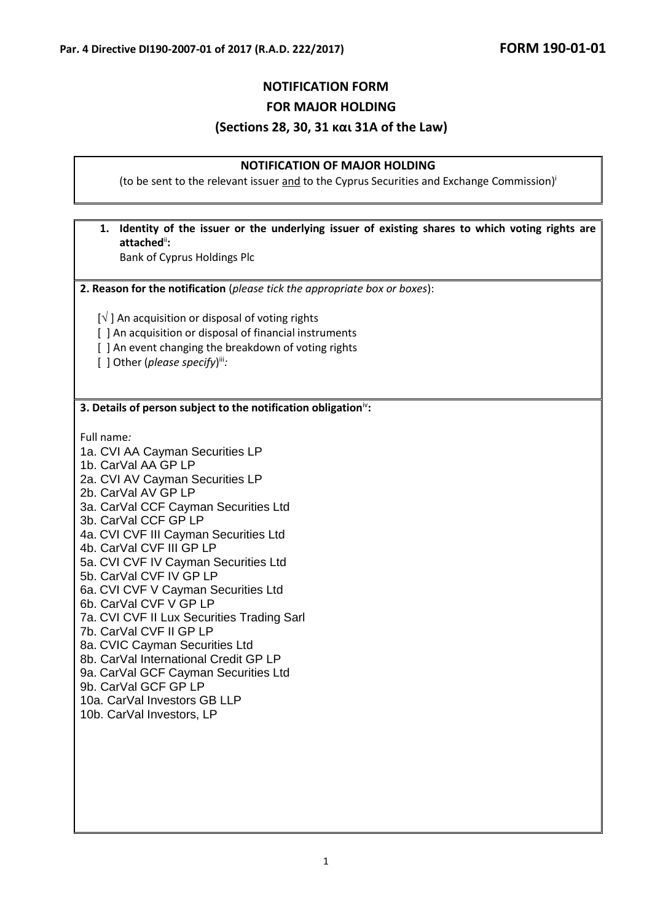### **NOTIFICATION FORM**

**FOR MAJOR HOLDING**

#### **(Sections 28, 30, 31 και 31A of the Law)**

#### **NOTIFICATION OF MAJOR HOLDING**

(to be sent to the relevant issuer and to the Cyprus Securities and Exchange Commission)

# **1. Identity of the issuer or the underlying issuer of existing shares to which voting rights are attached**ii**:**

Bank of Cyprus Holdings Plc

**2. Reason for the notification** (*please tick the appropriate box or boxes*):

 $[\sqrt{]}$  An acquisition or disposal of voting rights

- [] An acquisition or disposal of financial instruments
- [ ] An event changing the breakdown of voting rights

[ ] Other (please specify)<sup>iii</sup>:

#### **3. Details of person subject to the notification obligation**iv**:**

Full name*:* 

- 1a. CVI AA Cayman Securities LP
- 1b. CarVal AA GP LP
- 2a. CVI AV Cayman Securities LP
- 2b. CarVal AV GP LP
- 3a. CarVal CCF Cayman Securities Ltd
- 3b. CarVal CCF GP LP
- 4a. CVI CVF III Cayman Securities Ltd
- 4b. CarVal CVF III GP LP
- 5a. CVI CVF IV Cayman Securities Ltd
- 5b. CarVal CVF IV GP LP
- 6a. CVI CVF V Cayman Securities Ltd
- 6b. CarVal CVF V GP LP
- 7a. CVI CVF II Lux Securities Trading Sarl
- 7b. CarVal CVF II GP LP
- 8a. CVIC Cayman Securities Ltd
- 8b. CarVal International Credit GP LP
- 9a. CarVal GCF Cayman Securities Ltd
- 9b. CarVal GCF GP LP
- 10a. CarVal Investors GB LLP
- 10b. CarVal Investors, LP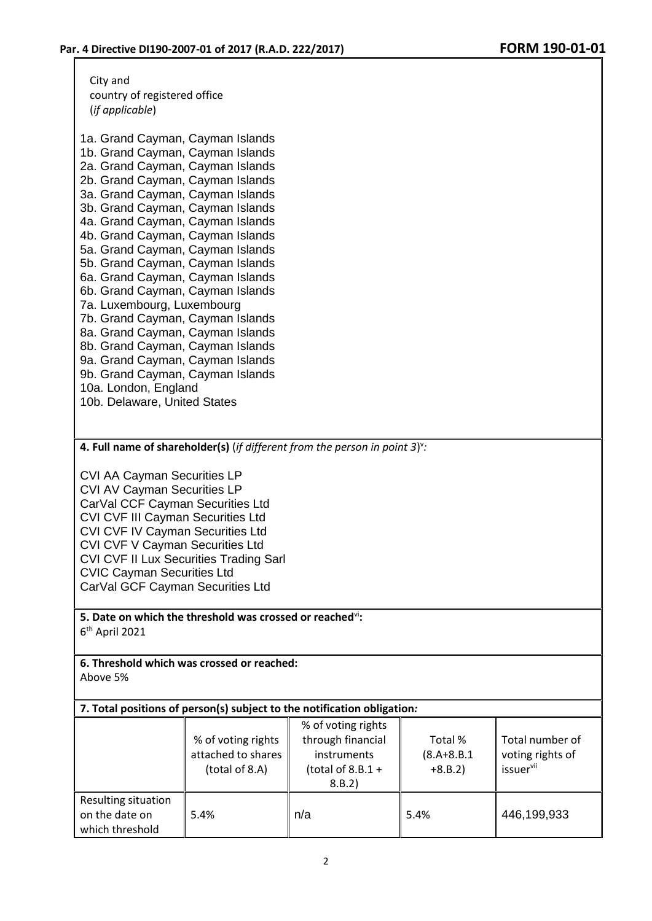City and country of registered office (*if applicable*)

1a. Grand Cayman, Cayman Islands 1b. Grand Cayman, Cayman Islands 2a. Grand Cayman, Cayman Islands 2b. Grand Cayman, Cayman Islands 3a. Grand Cayman, Cayman Islands 3b. Grand Cayman, Cayman Islands 4a. Grand Cayman, Cayman Islands 4b. Grand Cayman, Cayman Islands 5a. Grand Cayman, Cayman Islands 5b. Grand Cayman, Cayman Islands 6a. Grand Cayman, Cayman Islands 6b. Grand Cayman, Cayman Islands 7a. Luxembourg, Luxembourg 7b. Grand Cayman, Cayman Islands 8a. Grand Cayman, Cayman Islands 8b. Grand Cayman, Cayman Islands 9a. Grand Cayman, Cayman Islands 9b. Grand Cayman, Cayman Islands 10a. London, England

10b. Delaware, United States

**4. Full name of shareholder(s)** (*if different from the person in point 3*) v *:*

CVI AA Cayman Securities LP CVI AV Cayman Securities LP CarVal CCF Cayman Securities Ltd CVI CVF III Cayman Securities Ltd CVI CVF IV Cayman Securities Ltd CVI CVF V Cayman Securities Ltd CVI CVF II Lux Securities Trading Sarl CVIC Cayman Securities Ltd CarVal GCF Cayman Securities Ltd

**5. Date on which the threshold was crossed or reached**vi**:** 6 th April 2021

**6. Threshold which was crossed or reached:** Above 5%

**7. Total positions of person(s) subject to the notification obligation***:*

|                                                          | % of voting rights<br>attached to shares<br>(total of 8.A) | % of voting rights<br>through financial<br>instruments<br>(total of $8.8.1 +$<br>8.B.2) | Total %<br>$(8.A + 8.B.1)$<br>$+8.B.2)$ | Total number of<br>voting rights of<br><i>issuervii</i> |
|----------------------------------------------------------|------------------------------------------------------------|-----------------------------------------------------------------------------------------|-----------------------------------------|---------------------------------------------------------|
| Resulting situation<br>on the date on<br>which threshold | 5.4%                                                       | n/a                                                                                     | 5.4%                                    | 446,199,933                                             |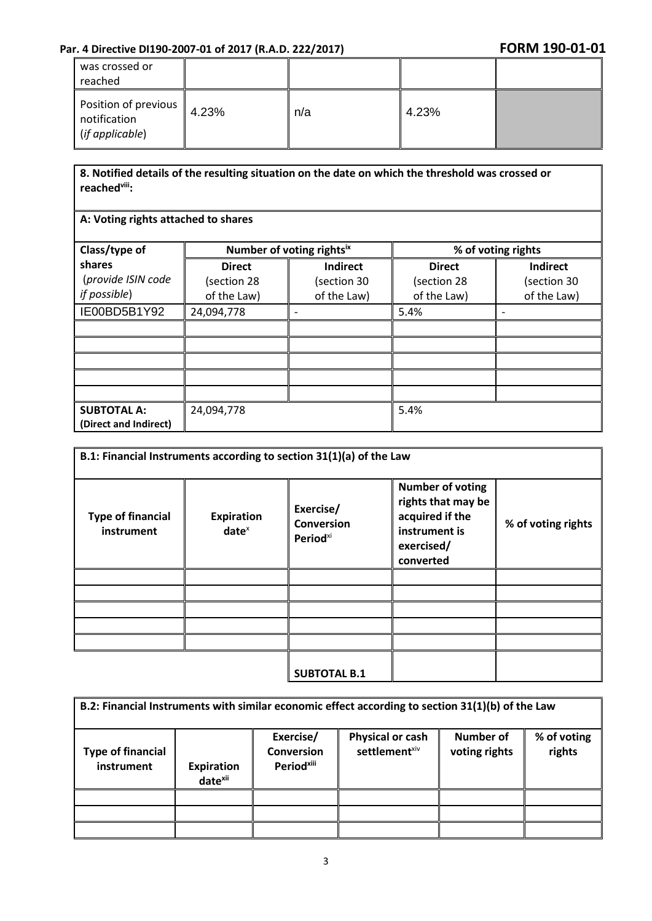| was crossed or<br>reached                               |       |     |       |  |
|---------------------------------------------------------|-------|-----|-------|--|
| Position of previous<br>notification<br>(if applicable) | 4.23% | n/a | 4.23% |  |

### **8. Notified details of the resulting situation on the date on which the threshold was crossed or reachedviii:**

### **A: Voting rights attached to shares**

| Class/type of                               | Number of voting rightsix |                 | % of voting rights |                 |
|---------------------------------------------|---------------------------|-----------------|--------------------|-----------------|
| shares                                      | <b>Direct</b>             | <b>Indirect</b> | <b>Direct</b>      | <b>Indirect</b> |
| (provide ISIN code                          | (section 28               | (section 30     | (section 28        | (section 30     |
| if possible)                                | of the Law)               | of the Law)     | of the Law)        | of the Law)     |
| IE00BD5B1Y92                                | 24,094,778                |                 | 5.4%               |                 |
|                                             |                           |                 |                    |                 |
|                                             |                           |                 |                    |                 |
|                                             |                           |                 |                    |                 |
|                                             |                           |                 |                    |                 |
|                                             |                           |                 |                    |                 |
| <b>SUBTOTAL A:</b><br>(Direct and Indirect) | 24,094,778                |                 | 5.4%               |                 |

| B.1: Financial Instruments according to section 31(1)(a) of the Law |                               |                                                               |                                                                                                              |                    |  |  |
|---------------------------------------------------------------------|-------------------------------|---------------------------------------------------------------|--------------------------------------------------------------------------------------------------------------|--------------------|--|--|
| <b>Type of financial</b><br>instrument                              | <b>Expiration</b><br>$date^x$ | Exercise/<br><b>Conversion</b><br><b>Period</b> <sup>xi</sup> | <b>Number of voting</b><br>rights that may be<br>acquired if the<br>instrument is<br>exercised/<br>converted | % of voting rights |  |  |
|                                                                     |                               |                                                               |                                                                                                              |                    |  |  |
|                                                                     |                               |                                                               |                                                                                                              |                    |  |  |
|                                                                     |                               |                                                               |                                                                                                              |                    |  |  |
|                                                                     |                               |                                                               |                                                                                                              |                    |  |  |
|                                                                     |                               |                                                               |                                                                                                              |                    |  |  |
|                                                                     |                               | <b>SUBTOTAL B.1</b>                                           |                                                                                                              |                    |  |  |

| B.2: Financial Instruments with similar economic effect according to section 31(1)(b) of the Law |                                          |                                                          |                                                      |                            |                       |  |
|--------------------------------------------------------------------------------------------------|------------------------------------------|----------------------------------------------------------|------------------------------------------------------|----------------------------|-----------------------|--|
| <b>Type of financial</b><br>instrument                                                           | <b>Expiration</b><br>date <sup>xii</sup> | Exercise/<br><b>Conversion</b><br>Period <sup>xiii</sup> | <b>Physical or cash</b><br>settlement <sup>xiv</sup> | Number of<br>voting rights | % of voting<br>rights |  |
|                                                                                                  |                                          |                                                          |                                                      |                            |                       |  |
|                                                                                                  |                                          |                                                          |                                                      |                            |                       |  |
|                                                                                                  |                                          |                                                          |                                                      |                            |                       |  |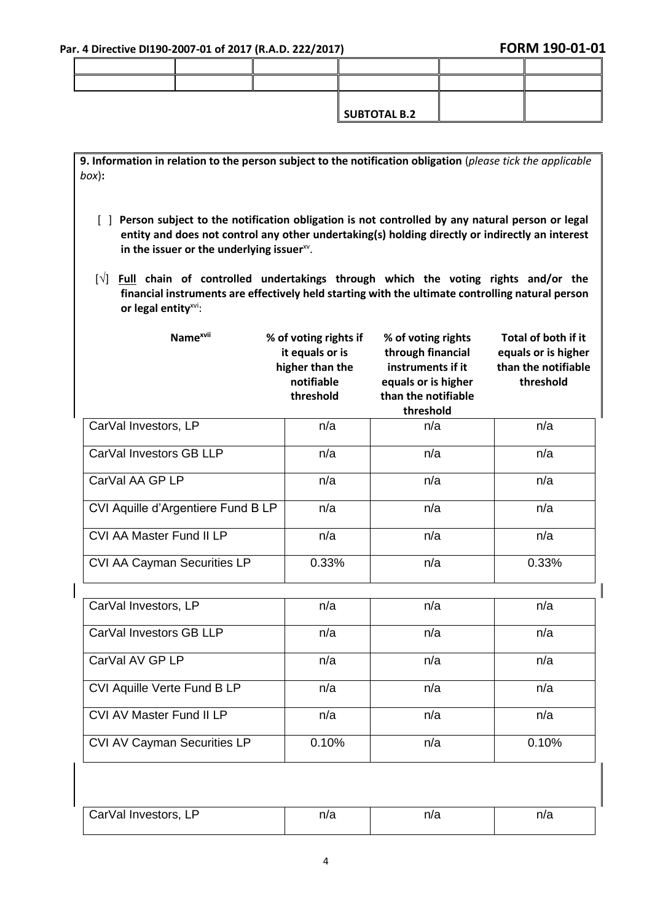$\overline{\phantom{a}}$ 

**9. Information in relation to the person subject to the notification obligation** (*please tick the applicable box*)**:**

- [ ] **Person subject to the notification obligation is not controlled by any natural person or legal entity and does not control any other undertaking(s) holding directly or indirectly an interest**  in the issuer or the underlying issuer<sup>xv</sup>.
- [√] **Full chain of controlled undertakings through which the voting rights and/or the financial instruments are effectively held starting with the ultimate controlling natural person or legal entity**xvi:

| Name <sup>xvii</sup>               | % of voting rights if<br>it equals or is<br>higher than the<br>notifiable<br>threshold | % of voting rights<br>through financial<br>instruments if it<br>equals or is higher<br>than the notifiable<br>threshold | Total of both if it<br>equals or is higher<br>than the notifiable<br>threshold |
|------------------------------------|----------------------------------------------------------------------------------------|-------------------------------------------------------------------------------------------------------------------------|--------------------------------------------------------------------------------|
| CarVal Investors, LP               | n/a                                                                                    | n/a                                                                                                                     | n/a                                                                            |
| CarVal Investors GB LLP            | n/a                                                                                    | n/a                                                                                                                     | n/a                                                                            |
| CarVal AA GP LP                    | n/a                                                                                    | n/a                                                                                                                     | n/a                                                                            |
| CVI Aquille d'Argentiere Fund B LP | n/a                                                                                    | n/a                                                                                                                     | n/a                                                                            |
| CVI AA Master Fund II LP           | n/a                                                                                    | n/a                                                                                                                     | n/a                                                                            |
| CVI AA Cayman Securities LP        | 0.33%                                                                                  | n/a                                                                                                                     | 0.33%                                                                          |
| CarVal Investors, LP               | n/a                                                                                    | n/a                                                                                                                     | n/a                                                                            |
| CarVal Investors GB LLP            | n/a                                                                                    | n/a                                                                                                                     | n/a                                                                            |
| CarVal AV GP LP                    | n/a                                                                                    | n/a                                                                                                                     | n/a                                                                            |
| CVI Aquille Verte Fund B LP        | n/a                                                                                    | n/a                                                                                                                     | n/a                                                                            |
| <b>CVI AV Master Fund II LP</b>    | n/a                                                                                    | n/a                                                                                                                     | n/a                                                                            |
| CVI AV Cayman Securities LP        | 0.10%                                                                                  | n/a                                                                                                                     | 0.10%                                                                          |

| 'Investors.<br><i>:</i> arVal<br>டா | 17 C | n/a | n r<br>11 O |
|-------------------------------------|------|-----|-------------|
|                                     |      |     |             |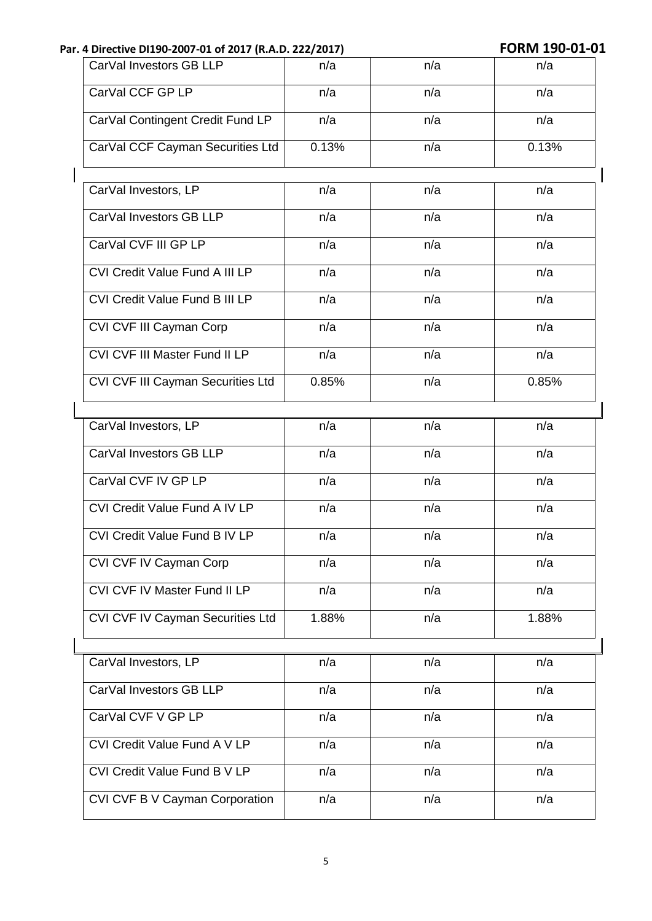| CarVal Investors GB LLP<br>n/a<br>n/a<br>n/a<br>CarVal CCF GP LP<br>n/a<br>n/a<br>n/a<br>CarVal Contingent Credit Fund LP<br>n/a<br>n/a<br>n/a<br>CarVal CCF Cayman Securities Ltd<br>0.13%<br>0.13%<br>n/a<br>CarVal Investors, LP<br>n/a<br>n/a<br>n/a<br>CarVal Investors GB LLP<br>n/a<br>n/a<br>n/a<br>CarVal CVF III GP LP<br>n/a<br>n/a<br>n/a<br>CVI Credit Value Fund A III LP<br>n/a<br>n/a<br>n/a<br>CVI Credit Value Fund B III LP<br>n/a<br>n/a<br>n/a<br>CVI CVF III Cayman Corp<br>n/a<br>n/a<br>n/a<br>CVI CVF III Master Fund II LP<br>n/a<br>n/a<br>n/a<br>CVI CVF III Cayman Securities Ltd<br>0.85%<br>n/a<br>0.85%<br>CarVal Investors, LP<br>n/a<br>n/a<br>n/a<br>CarVal Investors GB LLP<br>n/a<br>n/a<br>n/a<br>CarVal CVF IV GP LP<br>n/a<br>n/a<br>n/a<br>CVI Credit Value Fund A IV LP<br>n/a<br>n/a<br>n/a<br>CVI Credit Value Fund B IV LP<br>n/a<br>n/a<br>n/a<br>CVI CVF IV Cayman Corp<br>n/a<br>n/a<br>n/a<br><b>CVI CVF IV Master Fund II LP</b><br>n/a<br>n/a<br>n/a<br><b>CVI CVF IV Cayman Securities Ltd</b><br>1.88%<br>1.88%<br>n/a<br>CarVal Investors, LP<br>n/a<br>n/a<br>n/a<br>CarVal Investors GB LLP<br>n/a<br>n/a<br>n/a<br>CarVal CVF V GP LP<br>n/a<br>n/a<br>n/a<br>CVI Credit Value Fund A V LP<br>n/a<br>n/a<br>n/a<br>CVI Credit Value Fund B V LP<br>n/a<br>n/a<br>n/a<br>CVI CVF B V Cayman Corporation<br>n/a<br>n/a<br>n/a |  |  |
|--------------------------------------------------------------------------------------------------------------------------------------------------------------------------------------------------------------------------------------------------------------------------------------------------------------------------------------------------------------------------------------------------------------------------------------------------------------------------------------------------------------------------------------------------------------------------------------------------------------------------------------------------------------------------------------------------------------------------------------------------------------------------------------------------------------------------------------------------------------------------------------------------------------------------------------------------------------------------------------------------------------------------------------------------------------------------------------------------------------------------------------------------------------------------------------------------------------------------------------------------------------------------------------------------------------------------------------------------------------------------------------|--|--|
|                                                                                                                                                                                                                                                                                                                                                                                                                                                                                                                                                                                                                                                                                                                                                                                                                                                                                                                                                                                                                                                                                                                                                                                                                                                                                                                                                                                      |  |  |
|                                                                                                                                                                                                                                                                                                                                                                                                                                                                                                                                                                                                                                                                                                                                                                                                                                                                                                                                                                                                                                                                                                                                                                                                                                                                                                                                                                                      |  |  |
|                                                                                                                                                                                                                                                                                                                                                                                                                                                                                                                                                                                                                                                                                                                                                                                                                                                                                                                                                                                                                                                                                                                                                                                                                                                                                                                                                                                      |  |  |
|                                                                                                                                                                                                                                                                                                                                                                                                                                                                                                                                                                                                                                                                                                                                                                                                                                                                                                                                                                                                                                                                                                                                                                                                                                                                                                                                                                                      |  |  |
|                                                                                                                                                                                                                                                                                                                                                                                                                                                                                                                                                                                                                                                                                                                                                                                                                                                                                                                                                                                                                                                                                                                                                                                                                                                                                                                                                                                      |  |  |
|                                                                                                                                                                                                                                                                                                                                                                                                                                                                                                                                                                                                                                                                                                                                                                                                                                                                                                                                                                                                                                                                                                                                                                                                                                                                                                                                                                                      |  |  |
|                                                                                                                                                                                                                                                                                                                                                                                                                                                                                                                                                                                                                                                                                                                                                                                                                                                                                                                                                                                                                                                                                                                                                                                                                                                                                                                                                                                      |  |  |
|                                                                                                                                                                                                                                                                                                                                                                                                                                                                                                                                                                                                                                                                                                                                                                                                                                                                                                                                                                                                                                                                                                                                                                                                                                                                                                                                                                                      |  |  |
|                                                                                                                                                                                                                                                                                                                                                                                                                                                                                                                                                                                                                                                                                                                                                                                                                                                                                                                                                                                                                                                                                                                                                                                                                                                                                                                                                                                      |  |  |
|                                                                                                                                                                                                                                                                                                                                                                                                                                                                                                                                                                                                                                                                                                                                                                                                                                                                                                                                                                                                                                                                                                                                                                                                                                                                                                                                                                                      |  |  |
|                                                                                                                                                                                                                                                                                                                                                                                                                                                                                                                                                                                                                                                                                                                                                                                                                                                                                                                                                                                                                                                                                                                                                                                                                                                                                                                                                                                      |  |  |
|                                                                                                                                                                                                                                                                                                                                                                                                                                                                                                                                                                                                                                                                                                                                                                                                                                                                                                                                                                                                                                                                                                                                                                                                                                                                                                                                                                                      |  |  |
|                                                                                                                                                                                                                                                                                                                                                                                                                                                                                                                                                                                                                                                                                                                                                                                                                                                                                                                                                                                                                                                                                                                                                                                                                                                                                                                                                                                      |  |  |
|                                                                                                                                                                                                                                                                                                                                                                                                                                                                                                                                                                                                                                                                                                                                                                                                                                                                                                                                                                                                                                                                                                                                                                                                                                                                                                                                                                                      |  |  |
|                                                                                                                                                                                                                                                                                                                                                                                                                                                                                                                                                                                                                                                                                                                                                                                                                                                                                                                                                                                                                                                                                                                                                                                                                                                                                                                                                                                      |  |  |
|                                                                                                                                                                                                                                                                                                                                                                                                                                                                                                                                                                                                                                                                                                                                                                                                                                                                                                                                                                                                                                                                                                                                                                                                                                                                                                                                                                                      |  |  |
|                                                                                                                                                                                                                                                                                                                                                                                                                                                                                                                                                                                                                                                                                                                                                                                                                                                                                                                                                                                                                                                                                                                                                                                                                                                                                                                                                                                      |  |  |
|                                                                                                                                                                                                                                                                                                                                                                                                                                                                                                                                                                                                                                                                                                                                                                                                                                                                                                                                                                                                                                                                                                                                                                                                                                                                                                                                                                                      |  |  |
|                                                                                                                                                                                                                                                                                                                                                                                                                                                                                                                                                                                                                                                                                                                                                                                                                                                                                                                                                                                                                                                                                                                                                                                                                                                                                                                                                                                      |  |  |
|                                                                                                                                                                                                                                                                                                                                                                                                                                                                                                                                                                                                                                                                                                                                                                                                                                                                                                                                                                                                                                                                                                                                                                                                                                                                                                                                                                                      |  |  |
|                                                                                                                                                                                                                                                                                                                                                                                                                                                                                                                                                                                                                                                                                                                                                                                                                                                                                                                                                                                                                                                                                                                                                                                                                                                                                                                                                                                      |  |  |
|                                                                                                                                                                                                                                                                                                                                                                                                                                                                                                                                                                                                                                                                                                                                                                                                                                                                                                                                                                                                                                                                                                                                                                                                                                                                                                                                                                                      |  |  |
|                                                                                                                                                                                                                                                                                                                                                                                                                                                                                                                                                                                                                                                                                                                                                                                                                                                                                                                                                                                                                                                                                                                                                                                                                                                                                                                                                                                      |  |  |
|                                                                                                                                                                                                                                                                                                                                                                                                                                                                                                                                                                                                                                                                                                                                                                                                                                                                                                                                                                                                                                                                                                                                                                                                                                                                                                                                                                                      |  |  |
|                                                                                                                                                                                                                                                                                                                                                                                                                                                                                                                                                                                                                                                                                                                                                                                                                                                                                                                                                                                                                                                                                                                                                                                                                                                                                                                                                                                      |  |  |
|                                                                                                                                                                                                                                                                                                                                                                                                                                                                                                                                                                                                                                                                                                                                                                                                                                                                                                                                                                                                                                                                                                                                                                                                                                                                                                                                                                                      |  |  |
|                                                                                                                                                                                                                                                                                                                                                                                                                                                                                                                                                                                                                                                                                                                                                                                                                                                                                                                                                                                                                                                                                                                                                                                                                                                                                                                                                                                      |  |  |
|                                                                                                                                                                                                                                                                                                                                                                                                                                                                                                                                                                                                                                                                                                                                                                                                                                                                                                                                                                                                                                                                                                                                                                                                                                                                                                                                                                                      |  |  |
|                                                                                                                                                                                                                                                                                                                                                                                                                                                                                                                                                                                                                                                                                                                                                                                                                                                                                                                                                                                                                                                                                                                                                                                                                                                                                                                                                                                      |  |  |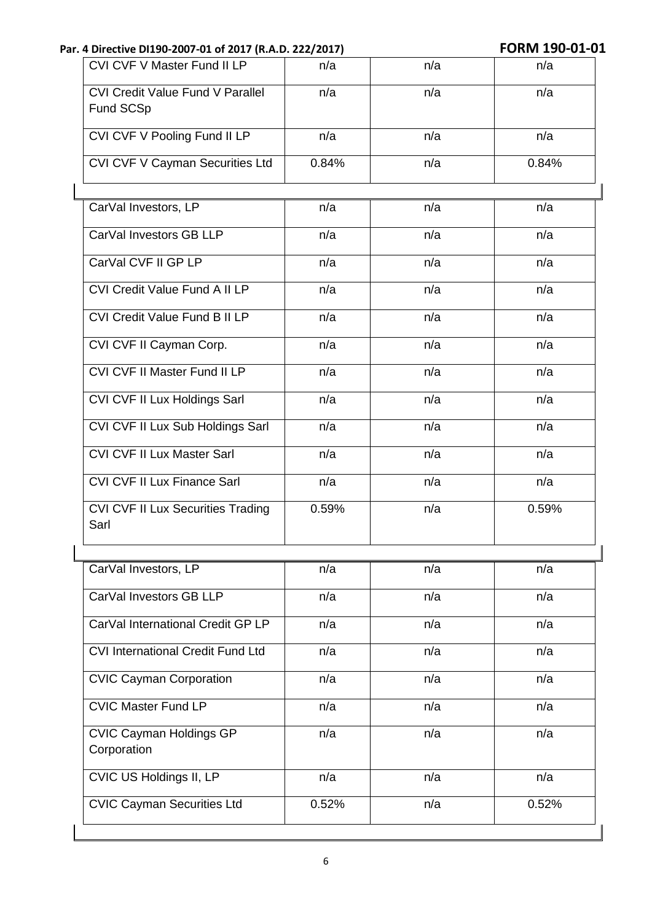| CVI CVF V Master Fund II LP                          | n/a   | n/a | n/a   |
|------------------------------------------------------|-------|-----|-------|
| <b>CVI Credit Value Fund V Parallel</b><br>Fund SCSp | n/a   | n/a | n/a   |
| CVI CVF V Pooling Fund II LP                         | n/a   | n/a | n/a   |
| CVI CVF V Cayman Securities Ltd                      | 0.84% | n/a | 0.84% |
|                                                      | n/a   | n/a | n/a   |
| CarVal Investors, LP                                 |       |     |       |
| CarVal Investors GB LLP                              | n/a   | n/a | n/a   |
| CarVal CVF II GP LP                                  | n/a   | n/a | n/a   |
| <b>CVI Credit Value Fund A II LP</b>                 | n/a   | n/a | n/a   |
| <b>CVI Credit Value Fund B II LP</b>                 | n/a   | n/a | n/a   |
| CVI CVF II Cayman Corp.                              | n/a   | n/a | n/a   |
| CVI CVF II Master Fund II LP                         | n/a   | n/a | n/a   |
| CVI CVF II Lux Holdings Sarl                         | n/a   | n/a | n/a   |
| CVI CVF II Lux Sub Holdings Sarl                     | n/a   | n/a | n/a   |
| <b>CVI CVF II Lux Master Sarl</b>                    | n/a   | n/a | n/a   |
| CVI CVF II Lux Finance Sarl                          | n/a   | n/a | n/a   |
| CVI CVF II Lux Securities Trading<br>Sarl            | 0.59% | n/a | 0.59% |
| CarVal Investors, LP                                 | n/a   | n/a | n/a   |
| CarVal Investors GB LLP                              | n/a   | n/a | n/a   |
| CarVal International Credit GP LP                    | n/a   | n/a | n/a   |
| <b>CVI International Credit Fund Ltd</b>             | n/a   | n/a | n/a   |
| <b>CVIC Cayman Corporation</b>                       | n/a   | n/a | n/a   |
| <b>CVIC Master Fund LP</b>                           | n/a   | n/a | n/a   |
| <b>CVIC Cayman Holdings GP</b><br>Corporation        | n/a   | n/a | n/a   |
| CVIC US Holdings II, LP                              | n/a   | n/a | n/a   |
| <b>CVIC Cayman Securities Ltd</b>                    | 0.52% | n/a | 0.52% |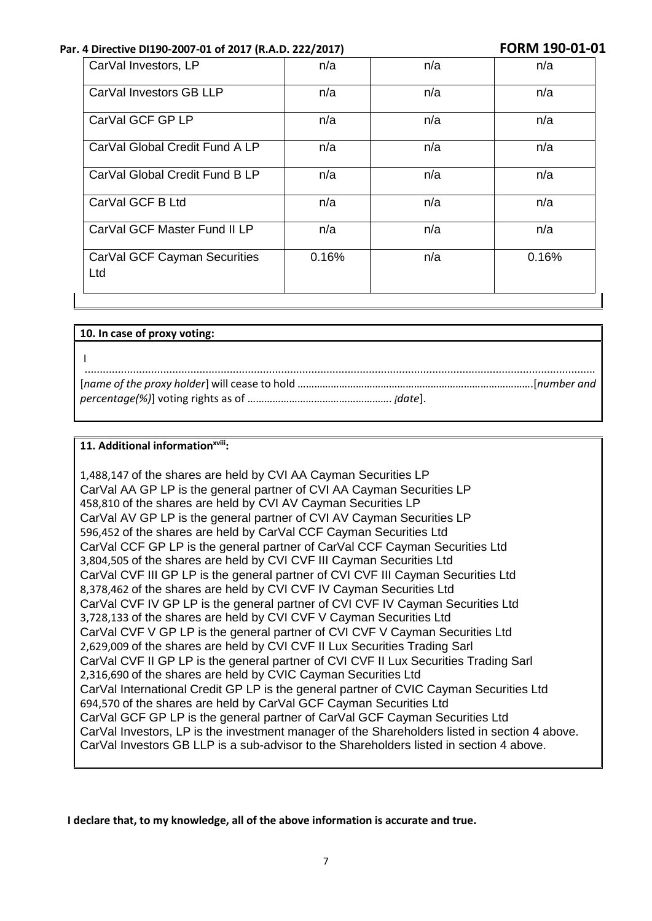| CarVal Investors, LP                | n/a   | n/a | n/a   |
|-------------------------------------|-------|-----|-------|
| CarVal Investors GB LLP             | n/a   | n/a | n/a   |
| CarVal GCF GP LP                    | n/a   | n/a | n/a   |
| CarVal Global Credit Fund A LP      | n/a   | n/a | n/a   |
| CarVal Global Credit Fund B LP      | n/a   | n/a | n/a   |
| CarVal GCF B Ltd                    | n/a   | n/a | n/a   |
| CarVal GCF Master Fund II LP        | n/a   | n/a | n/a   |
| CarVal GCF Cayman Securities<br>Ltd | 0.16% | n/a | 0.16% |

| 10. In case of proxy voting: |  |
|------------------------------|--|
|                              |  |
|                              |  |
|                              |  |

#### **11. Additional informationxviii:**

1,488,147 of the shares are held by CVI AA Cayman Securities LP CarVal AA GP LP is the general partner of CVI AA Cayman Securities LP 458,810 of the shares are held by CVI AV Cayman Securities LP CarVal AV GP LP is the general partner of CVI AV Cayman Securities LP 596,452 of the shares are held by CarVal CCF Cayman Securities Ltd CarVal CCF GP LP is the general partner of CarVal CCF Cayman Securities Ltd 3,804,505 of the shares are held by CVI CVF III Cayman Securities Ltd CarVal CVF III GP LP is the general partner of CVI CVF III Cayman Securities Ltd 8,378,462 of the shares are held by CVI CVF IV Cayman Securities Ltd CarVal CVF IV GP LP is the general partner of CVI CVF IV Cayman Securities Ltd 3,728,133 of the shares are held by CVI CVF V Cayman Securities Ltd CarVal CVF V GP LP is the general partner of CVI CVF V Cayman Securities Ltd 2,629,009 of the shares are held by CVI CVF II Lux Securities Trading Sarl CarVal CVF II GP LP is the general partner of CVI CVF II Lux Securities Trading Sarl 2,316,690 of the shares are held by CVIC Cayman Securities Ltd CarVal International Credit GP LP is the general partner of CVIC Cayman Securities Ltd 694,570 of the shares are held by CarVal GCF Cayman Securities Ltd CarVal GCF GP LP is the general partner of CarVal GCF Cayman Securities Ltd CarVal Investors, LP is the investment manager of the Shareholders listed in section 4 above. CarVal Investors GB LLP is a sub-advisor to the Shareholders listed in section 4 above.

**I declare that, to my knowledge, all of the above information is accurate and true.**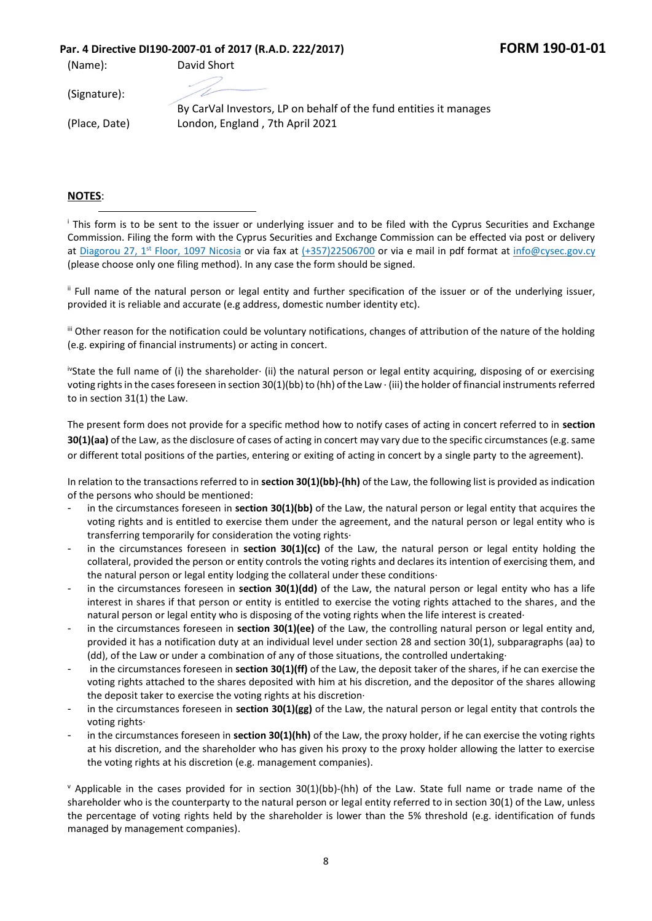(Name): David Short

(Signature):

(Place, Date)

By CarVal Investors, LP on behalf of the fund entities it manages London, England , 7th April 2021

#### **NOTES**:

<sup>i</sup> This form is to be sent to the issuer or underlying issuer and to be filed with the Cyprus Securities and Exchange Commission. Filing the form with the Cyprus Securities and Exchange Commission can be effected via post or delivery at <u>Diagorou 27, 1st Floor, 1097 Nicosia</u> or via fax at (+357)22506700 or via e mail in pdf format at [info@cysec.gov.cy](mailto:info@cysec.gov.cy) (please choose only one filing method). In any case the form should be signed.

ii Full name of the natural person or legal entity and further specification of the issuer or of the underlying issuer, provided it is reliable and accurate (e.g address, domestic number identity etc).

iii Other reason for the notification could be voluntary notifications, changes of attribution of the nature of the holding (e.g. expiring of financial instruments) or acting in concert.

ivState the full name of (i) the shareholder∙ (ii) the natural person or legal entity acquiring, disposing of or exercising voting rights in the cases foreseen in section 30(1)(bb) to (hh) of the Law ∙ (iii) the holder of financial instruments referred to in section 31(1) the Law.

The present form does not provide for a specific method how to notify cases of acting in concert referred to in **section 30(1)(aa)** of the Law, as the disclosure of cases of acting in concert may vary due to the specific circumstances (e.g. same or different total positions of the parties, entering or exiting of acting in concert by a single party to the agreement).

In relation to the transactions referred to in **section 30(1)(bb)-(hh)** of the Law, the following list is provided as indication of the persons who should be mentioned:

- in the circumstances foreseen in **section 30(1)(bb)** of the Law, the natural person or legal entity that acquires the voting rights and is entitled to exercise them under the agreement, and the natural person or legal entity who is transferring temporarily for consideration the voting rights∙
- in the circumstances foreseen in **section 30(1)(cc)** of the Law, the natural person or legal entity holding the collateral, provided the person or entity controls the voting rights and declares its intention of exercising them, and the natural person or legal entity lodging the collateral under these conditions∙
- in the circumstances foreseen in **section 30(1)(dd)** of the Law, the natural person or legal entity who has a life interest in shares if that person or entity is entitled to exercise the voting rights attached to the shares, and the natural person or legal entity who is disposing of the voting rights when the life interest is created∙
- in the circumstances foreseen in **section 30(1)(ee)** of the Law, the controlling natural person or legal entity and, provided it has a notification duty at an individual level under section 28 and section 30(1), subparagraphs (aa) to (dd), of the Law or under a combination of any of those situations, the controlled undertaking∙
- in the circumstances foreseen in **section 30(1)(ff)** of the Law, the deposit taker of the shares, if he can exercise the voting rights attached to the shares deposited with him at his discretion, and the depositor of the shares allowing the deposit taker to exercise the voting rights at his discretion∙
- in the circumstances foreseen in **section 30(1)(gg)** of the Law, the natural person or legal entity that controls the voting rights∙
- in the circumstances foreseen in **section 30(1)(hh)** of the Law, the proxy holder, if he can exercise the voting rights at his discretion, and the shareholder who has given his proxy to the proxy holder allowing the latter to exercise the voting rights at his discretion (e.g. management companies).

 $\gamma$  Applicable in the cases provided for in section 30(1)(bb)-(hh) of the Law. State full name or trade name of the shareholder who is the counterparty to the natural person or legal entity referred to in section 30(1) of the Law, unless the percentage of voting rights held by the shareholder is lower than the 5% threshold (e.g. identification of funds managed by management companies).